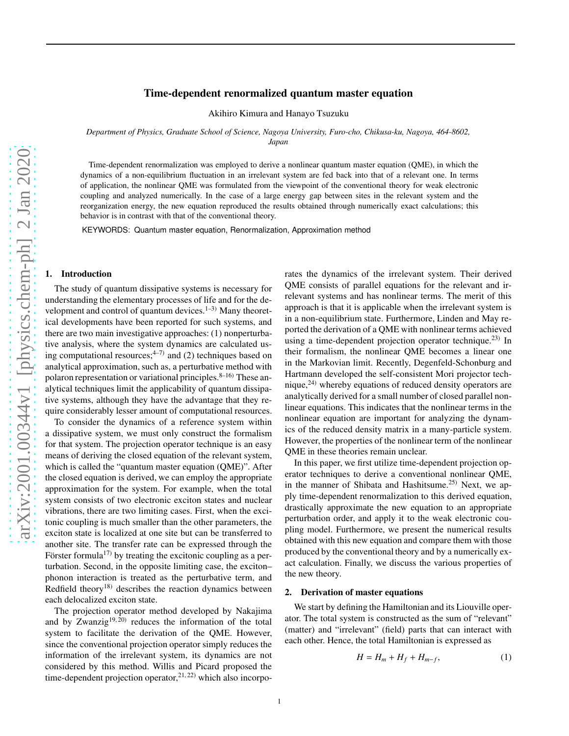# Time-dependent renormalized quantum master equation

Akihiro Kimura and Hanayo Tsuzuku

*Department of Physics, Graduate School of Science, Nagoya University, Furo-cho, Chikusa-ku, Nagoya, 464-8602, Japan*

Time-dependent renormalization was employed to derive a nonlinear quantum master equation (QME), in which the dynamics of a non-equilibrium fluctuation in an irrelevant system are fed back into that of a relevant one. In terms of application, the nonlinear QME was formulated from the viewpoint of the conventional theory for weak electronic coupling and analyzed numerically. In the case of a large energy gap between sites in the relevant system and the reorganization energy, the new equation reproduced the results obtained through numerically exact calculations; this behavior is in contrast with that of the conventional theory.

KEYWORDS: Quantum master equation, Renormalization, Approximation method

#### 1. Introduction

The study of quantum dissipative systems is necessary for understanding the elementary processes of life and for the development and control of quantum devices. $1-3$ ) Many theoretical developments have been reported for such systems, and there are two main investigative approaches: (1) nonperturbative analysis, where the system dynamics are calculated using computational resources;  $4\overline{7}$  and (2) techniques based on analytical approximation, such as, a perturbative method with polaron representation or variational principles.  $8-16$ ) These analytical techniques limit the applicability of quantum dissipative systems, although they have the advantage that they require considerably lesser amount of computational resources.

To consider the dynamics of a reference system within a dissipative system, we must only construct the formalism for that system. The projection operator technique is an easy means of deriving the closed equation of the relevant system, which is called the "quantum master equation (QME)". After the closed equation is derived, we can employ the appropriate approximation for the system. For example, when the total system consists of two electronic exciton states and nuclear vibrations, there are two limiting cases. First, when the excitonic coupling is much smaller than the other parameters, the exciton state is localized at one site but can be transferred to another site. The transfer rate can be expressed through the Förster formula<sup>17)</sup> by treating the excitonic coupling as a perturbation. Second, in the opposite limiting case, the exciton– phonon interaction is treated as the perturbative term, and Redfield theory<sup>18)</sup> describes the reaction dynamics between each delocalized exciton state.

The projection operator method developed by Nakajima and by Zwanzig<sup>19, 20</sup> reduces the information of the total system to facilitate the derivation of the QME. However, since the conventional projection operator simply reduces the information of the irrelevant system, its dynamics are not considered by this method. Willis and Picard proposed the time-dependent projection operator, $2^{1, 22}$ ) which also incorporates the dynamics of the irrelevant system. Their derived QME consists of parallel equations for the relevant and irrelevant systems and has nonlinear terms. The merit of this approach is that it is applicable when the irrelevant system is in a non-equilibrium state. Furthermore, Linden and May reported the derivation of a QME with nonlinear terms achieved using a time-dependent projection operator technique.<sup>23)</sup> In their formalism, the nonlinear QME becomes a linear one in the Markovian limit. Recently, Degenfeld-Schonburg and Hartmann developed the self-consistent Mori projector technique,24) whereby equations of reduced density operators are analytically derived for a small number of closed parallel nonlinear equations. This indicates that the nonlinear terms in the nonlinear equation are important for analyzing the dynamics of the reduced density matrix in a many-particle system. However, the properties of the nonlinear term of the nonlinear QME in these theories remain unclear.

In this paper, we first utilize time-dependent projection operator techniques to derive a conventional nonlinear QME, in the manner of Shibata and Hashitsume.<sup>25)</sup> Next, we apply time-dependent renormalization to this derived equation, drastically approximate the new equation to an appropriate perturbation order, and apply it to the weak electronic coupling model. Furthermore, we present the numerical results obtained with this new equation and compare them with those produced by the conventional theory and by a numerically exact calculation. Finally, we discuss the various properties of the new theory.

#### 2. Derivation of master equations

We start by defining the Hamiltonian and its Liouville operator. The total system is constructed as the sum of "relevant" (matter) and "irrelevant" (field) parts that can interact with each other. Hence, the total Hamiltonian is expressed as

$$
H = H_m + H_f + H_{m-f},\tag{1}
$$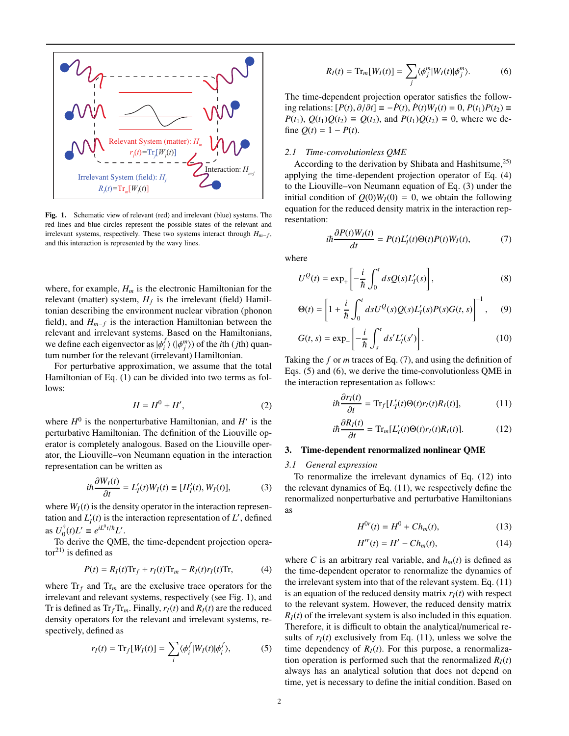

Fig. 1. Schematic view of relevant (red) and irrelevant (blue) systems. The red lines and blue circles represent the possible states of the relevant and irrelevant systems, respectively. These two systems interact through *Hm*−*<sup>f</sup>* , and this interaction is represented by the wavy lines.

where, for example,  $H_m$  is the electronic Hamiltonian for the relevant (matter) system,  $H_f$  is the irrelevant (field) Hamiltonian describing the environment nuclear vibration (phonon field), and *Hm*−*<sup>f</sup>* is the interaction Hamiltonian between the relevant and irrelevant systems. Based on the Hamiltonians, we define each eigenvector as  $|\phi_i^j|$  $\binom{f}{i}$  ( $|\phi_j^m\rangle$ ) of the *i*th (*j*th) quantum number for the relevant (irrelevant) Hamiltonian.

For perturbative approximation, we assume that the total Hamiltonian of Eq. (1) can be divided into two terms as follows:

$$
H = H^0 + H',\tag{2}
$$

where  $H^0$  is the nonperturbative Hamiltonian, and  $H'$  is the perturbative Hamiltonian. The definition of the Liouville operator is completely analogous. Based on the Liouville operator, the Liouville–von Neumann equation in the interaction representation can be written as

$$
i\hbar \frac{\partial W_I(t)}{\partial t} = L'_I(t)W_I(t) \equiv [H'_I(t), W_I(t)], \tag{3}
$$

where  $W_I(t)$  is the density operator in the interaction representation and  $L'_I(t)$  is the interaction representation of  $L'$ , defined as  $U_0^{\dagger}(t)L' \equiv e^{iL^0t/\hbar}L'.$ 

To derive the QME, the time-dependent projection operator $^{21)}$  is defined as

$$
P(t) = R_I(t)\text{Tr}_f + r_I(t)\text{Tr}_m - R_I(t)r_I(t)\text{Tr},\tag{4}
$$

where  $Tr_f$  and  $Tr_m$  are the exclusive trace operators for the irrelevant and relevant systems, respectively (see Fig. 1), and Tr is defined as  $Tr_f Tr_m$ . Finally,  $r_I(t)$  and  $R_I(t)$  are the reduced density operators for the relevant and irrelevant systems, respectively, defined as

$$
r_I(t) = \text{Tr}_f[W_I(t)] = \sum_i \langle \phi_i^f | W_I(t) | \phi_i^f \rangle, \tag{5}
$$

$$
R_I(t) = \text{Tr}_m[W_I(t)] = \sum_j \langle \phi_j^m | W_I(t) | \phi_j^m \rangle.
$$
 (6)

The time-dependent projection operator satisfies the following relations: [*P*(*t*), ∂/∂*t*] ≡ −*P*˙(*t*), *<sup>P</sup>*˙(*t*)*WI*(*t*) <sup>=</sup> 0, *<sup>P</sup>*(*t*1)*P*(*t*2) <sup>≡</sup> *P*(*t*<sub>1</sub>),  $Q(t_1)Q(t_2)$  ≡  $Q(t_2)$ , and  $P(t_1)Q(t_2)$  ≡ 0, where we define  $Q(t) = 1 - P(t)$ .

# *2.1 Time-convolutionless QME*

According to the derivation by Shibata and Hashitsume,  $25$ applying the time-dependent projection operator of Eq. (4) to the Liouville–von Neumann equation of Eq. (3) under the initial condition of  $Q(0)W_I(0) = 0$ , we obtain the following equation for the reduced density matrix in the interaction representation:

$$
i\hbar \frac{\partial P(t)W_I(t)}{\partial t} = P(t)L_I'(t)\Theta(t)P(t)W_I(t),\tag{7}
$$

where

$$
U^{Q}(t) = \exp_{+}\left[-\frac{i}{\hbar} \int_{0}^{t} ds Q(s) L'_{I}(s)\right],
$$
\n(8)

$$
\Theta(t) = \left[1 + \frac{i}{\hbar} \int_0^t ds U^Q(s) Q(s) L'_I(s) P(s) G(t, s)\right]^{-1}, \quad (9)
$$

$$
G(t,s) = \exp_{-}\left[-\frac{i}{\hbar} \int_{s}^{t} ds' L'_{I}(s')\right].
$$
 (10)

Taking the *f* or *m* traces of Eq. (7), and using the definition of Eqs. (5) and (6), we derive the time-convolutionless QME in the interaction representation as follows:

$$
i\hbar \frac{\partial r_I(t)}{\partial t} = \text{Tr}_f[L'_I(t)\Theta(t)r_I(t)R_I(t)],\tag{11}
$$

$$
i\hbar \frac{\partial R_I(t)}{\partial t} = \text{Tr}_m[L_I'(t)\Theta(t)r_I(t)R_I(t)].
$$
 (12)

## 3. Time-dependent renormalized nonlinear QME

#### *3.1 General expression*

To renormalize the irrelevant dynamics of Eq. (12) into the relevant dynamics of Eq. (11), we respectively define the renormalized nonperturbative and perturbative Hamiltonians as

$$
H^{0r}(t) = H^0 + Ch_m(t),
$$
 (13)

$$
H''(t) = H' - Ch_m(t),\tag{14}
$$

where *C* is an arbitrary real variable, and  $h_m(t)$  is defined as the time-dependent operator to renormalize the dynamics of the irrelevant system into that of the relevant system. Eq. (11) is an equation of the reduced density matrix  $r_I(t)$  with respect to the relevant system. However, the reduced density matrix  $R_I(t)$  of the irrelevant system is also included in this equation. Therefore, it is difficult to obtain the analytical/numerical results of  $r_I(t)$  exclusively from Eq. (11), unless we solve the time dependency of  $R_I(t)$ . For this purpose, a renormalization operation is performed such that the renormalized  $R_I(t)$ always has an analytical solution that does not depend on time, yet is necessary to define the initial condition. Based on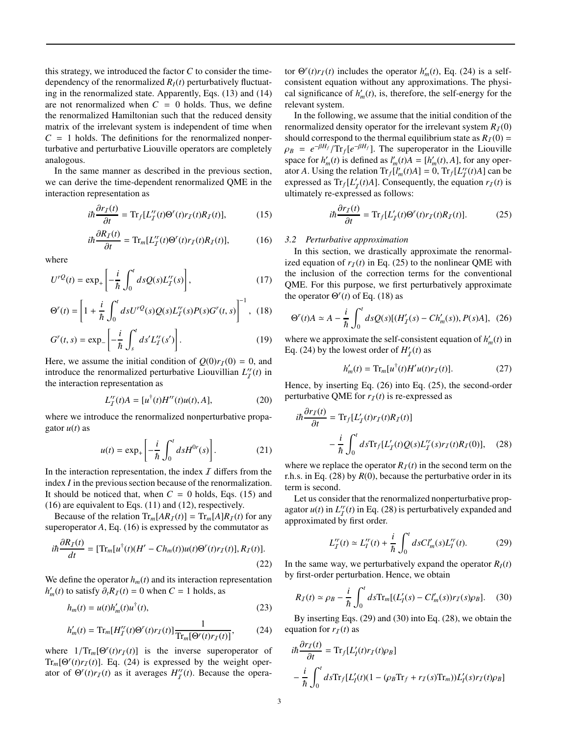this strategy, we introduced the factor  $C$  to consider the timedependency of the renormalized  $R_I(t)$  perturbatively fluctuating in the renormalized state. Apparently, Eqs. (13) and (14) are not renormalized when  $C = 0$  holds. Thus, we define the renormalized Hamiltonian such that the reduced density matrix of the irrelevant system is independent of time when  $C = 1$  holds. The definitions for the renormalized nonperturbative and perturbative Liouville operators are completely analogous.

In the same manner as described in the previous section, we can derive the time-dependent renormalized QME in the interaction representation as

$$
i\hbar \frac{\partial r_I(t)}{\partial t} = \text{Tr}_f[L_I''(t)\Theta'(t)r_I(t)R_I(t)],\tag{15}
$$

$$
i\hbar \frac{\partial R_I(t)}{\partial t} = \text{Tr}_m[L_I^{\prime\prime}(t)\Theta^{\prime\prime}(t)r_I(t)R_I(t)],\tag{16}
$$

where

$$
U^{rQ}(t) = \exp_+\left[-\frac{i}{\hbar} \int_0^t ds Q(s) L_T^{r}(s)\right],\tag{17}
$$

$$
\Theta^{r}(t) = \left[1 + \frac{i}{\hbar} \int_{0}^{t} ds U^{rQ}(s) Q(s) L_{I}^{r}(s) P(s) G^{r}(t, s)\right]^{-1}, (18)
$$

$$
G^{r}(t,s) = \exp_{-}\left[-\frac{i}{\hbar}\int_{s}^{t}ds'L_{I}^{r}(s')\right].
$$
 (19)

Here, we assume the initial condition of  $Q(0)r_I(0) = 0$ , and introduce the renormalized perturbative Liouvillian  $L_T^r(t)$  in the interaction representation as

$$
L_I^{\prime r}(t)A = [u^{\dagger}(t)H^{\prime r}(t)u(t), A], \qquad (20)
$$

where we introduce the renormalized nonperturbative propagator  $u(t)$  as

$$
u(t) = \exp_+\left[-\frac{i}{\hbar} \int_0^t ds H^{0r}(s)\right].
$$
 (21)

In the interaction representation, the index  $I$  differs from the index *I* in the previous section because of the renormalization. It should be noticed that, when  $C = 0$  holds, Eqs. (15) and (16) are equivalent to Eqs. (11) and (12), respectively.

Because of the relation  $\text{Tr}_{m}[AR_{I}(t)] = \text{Tr}_{m}[A]R_{I}(t)$  for any superoperator *A*, Eq. (16) is expressed by the commutator as

$$
i\hbar \frac{\partial R_I(t)}{dt} = [\text{Tr}_m[u^\dagger(t)(H' - Ch_m(t))u(t)\Theta^r(t)r_I(t)], R_I(t)].
$$
\n(22)

We define the operator  $h_m(t)$  and its interaction representation  $h'_m(t)$  to satisfy  $\partial_t R_I(t) = 0$  when  $C = 1$  holds, as

$$
h_m(t) = u(t)h'_m(t)u^\dagger(t),\tag{23}
$$

$$
h'_{m}(t) = \text{Tr}_{m}[H'^{r}_{I}(t)\Theta^{r}(t)r_{I}(t)]\frac{1}{\text{Tr}_{m}[\Theta^{r}(t)r_{I}(t)]},
$$
 (24)

where  $1/Tr_m[\Theta'(t)r_I(t)]$  is the inverse superoperator of  $Tr_m[Θ<sup>r</sup>(t)r<sub>I</sub>(t)]$ . Eq. (24) is expressed by the weight operator of  $\Theta'(t)r_I(t)$  as it averages  $H''_I(t)$ . Because the opera-

tor  $\Theta^r(t)r_I(t)$  includes the operator  $h'_m(t)$ , Eq. (24) is a selfconsistent equation without any approximations. The physical significance of  $h'_m(t)$ , is, therefore, the self-energy for the relevant system.

In the following, we assume that the initial condition of the renormalized density operator for the irrelevant system  $R_I(0)$ should correspond to the thermal equilibrium state as  $R_I(0)$  =  $\rho_B = e^{-\beta H_f} / \text{Tr}_f[e^{-\beta H_f}]$ . The superoperator in the Liouville space for  $h'_m(t)$  is defined as  $l'_m(t)A = [h'_m(t), A]$ , for any operator *A*. Using the relation  $Tr_f[l'_m(t)A] = 0$ ,  $Tr_f[L''_T(t)A]$  can be expressed as  $Tr_f[L'_T(t)A]$ . Consequently, the equation  $r_I(t)$  is ultimately re-expressed as follows:

$$
i\hbar \frac{\partial r_I(t)}{\partial t} = \text{Tr}_f[L'_I(t)\Theta^r(t)r_I(t)R_I(t)].\tag{25}
$$

#### *3.2 Perturbative approximation*

In this section, we drastically approximate the renormalized equation of  $r_I(t)$  in Eq. (25) to the nonlinear QME with the inclusion of the correction terms for the conventional QME. For this purpose, we first perturbatively approximate the operator  $\Theta^r(t)$  of Eq. (18) as

$$
\Theta^{r}(t)A \simeq A - \frac{i}{\hbar} \int_{0}^{t} ds \mathcal{Q}(s)[(H'_{\mathcal{I}}(s) - Ch'_{m}(s)), P(s)A], \tag{26}
$$

where we approximate the self-consistent equation of  $h'_m(t)$  in Eq. (24) by the lowest order of  $H'_{\mathcal{I}}(t)$  as

$$
h'_{m}(t) = \text{Tr}_{m}[u^{\dagger}(t)H'u(t)r_{I}(t)]. \qquad (27)
$$

Hence, by inserting Eq. (26) into Eq. (25), the second-order perturbative QME for  $r_I(t)$  is re-expressed as

$$
i\hbar \frac{\partial r_I(t)}{\partial t} = \text{Tr}_f[L'_I(t)r_I(t)R_I(t)]
$$

$$
- \frac{i}{\hbar} \int_0^t d s \text{Tr}_f[L'_I(t)Q(s)L''_I(s)r_I(t)R_I(0)], \quad (28)
$$

where we replace the operator  $R_I(t)$  in the second term on the r.h.s. in Eq. (28) by *R*(0), because the perturbative order in its term is second.

Let us consider that the renormalized nonperturbative propagator  $u(t)$  in  $L_T^r(t)$  in Eq. (28) is perturbatively expanded and  $\sum_{\text{approximated by first order.}}$ 

$$
L_I''(t) \simeq L_I''(t) + \frac{i}{\hbar} \int_0^t ds C l_m'(s) L_I''(t).
$$
 (29)

In the same way, we perturbatively expand the operator  $R_I(t)$ by first-order perturbation. Hence, we obtain

$$
R_{I}(t) \simeq \rho_{B} - \frac{i}{\hbar} \int_{0}^{t} ds \text{Tr}_{m}[(L'_{I}(s) - Cl'_{m}(s))r_{I}(s)\rho_{B}]. \tag{30}
$$

By inserting Eqs. (29) and (30) into Eq. (28), we obtain the equation for  $r_I(t)$  as

$$
\begin{aligned} i\hbar \frac{\partial r_I(t)}{\partial t} &= \text{Tr}_f[L_I'(t)r_I(t)\rho_B] \\ &- \frac{i}{\hbar} \int_0^t ds \text{Tr}_f[L_I'(t)(1 - (\rho_B \text{Tr}_f + r_I(s)\text{Tr}_m))L_I'(s)r_I(t)\rho_B] \end{aligned}
$$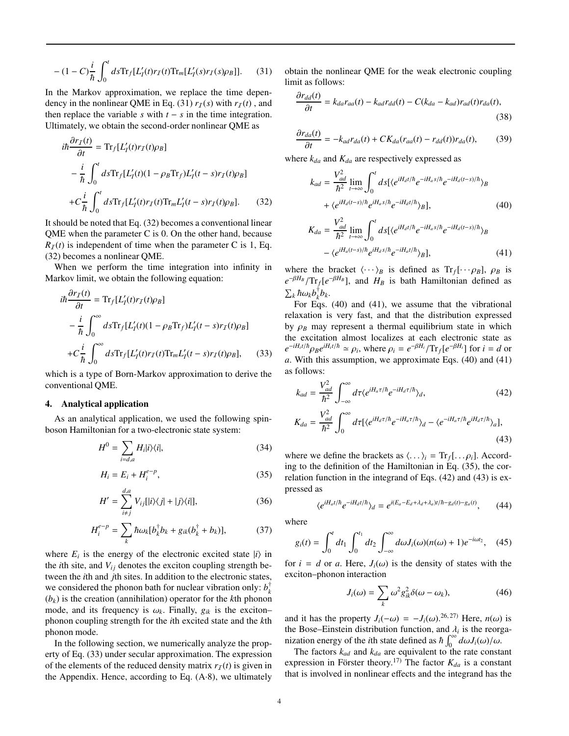$$
- (1 - C) \frac{i}{\hbar} \int_0^t ds \text{Tr}_f[L'_I(t) r_I(t) \text{Tr}_m[L'_I(s) r_I(s) \rho_B]]. \tag{31}
$$

In the Markov approximation, we replace the time dependency in the nonlinear QME in Eq. (31)  $r_I(s)$  with  $r_I(t)$ , and then replace the variable *s* with  $t - s$  in the time integration. Ultimately, we obtain the second-order nonlinear QME as

$$
i\hbar \frac{\partial r_I(t)}{\partial t} = \text{Tr}_f[L_I'(t)r_I(t)\rho_B]
$$
  
\n
$$
-\frac{i}{\hbar} \int_0^t ds \text{Tr}_f[L_I'(t)(1-\rho_B \text{Tr}_f)L_I'(t-s)r_I(t)\rho_B]
$$
  
\n
$$
+C\frac{i}{\hbar} \int_0^t ds \text{Tr}_f[L_I'(t)r_I(t)\text{Tr}_mL_I'(t-s)r_I(t)\rho_B].
$$
 (32)

It should be noted that Eq. (32) becomes a conventional linear QME when the parameter C is 0. On the other hand, because  $R_I(t)$  is independent of time when the parameter C is 1, Eq. (32) becomes a nonlinear QME.

When we perform the time integration into infinity in Markov limit, we obtain the following equation:

$$
i\hbar \frac{\partial r_f(t)}{\partial t} = \text{Tr}_f[L'_I(t)r_I(t)\rho_B]
$$
  

$$
-\frac{i}{\hbar} \int_0^\infty ds \text{Tr}_f[L'_I(t)(1-\rho_B \text{Tr}_f)L'_I(t-s)r_I(t)\rho_B]
$$
  

$$
+C\frac{i}{\hbar} \int_0^\infty ds \text{Tr}_f[L'_I(t)r_I(t)\text{Tr}_mL'_I(t-s)r_I(t)\rho_B], \quad (33)
$$

which is a type of Born-Markov approximation to derive the conventional QME.

## 4. Analytical application

As an analytical application, we used the following spinboson Hamiltonian for a two-electronic state system:

$$
H^{0} = \sum_{i=d,a} H_{i}|i\rangle\langle i|,\tag{34}
$$

$$
H_i = E_i + H_i^{e-p},\tag{35}
$$

$$
H' = \sum_{i \neq j}^{d,a} V_{ij} [|i\rangle\langle j| + |j\rangle\langle i|], \tag{36}
$$

$$
H_i^{e-p} = \sum_k \hbar \omega_k [b_k^\dagger b_k + g_{ik}(b_k^\dagger + b_k)],\tag{37}
$$

where  $E_i$  is the energy of the electronic excited state  $|i\rangle$  in the *i*th site, and  $V_{ij}$  denotes the exciton coupling strength between the *i*th and *j*th sites. In addition to the electronic states, we considered the phonon bath for nuclear vibration only:  $b_k^{\dagger}$ (*bk*) is the creation (annihilation) operator for the *k*th phonon mode, and its frequency is  $\omega_k$ . Finally,  $g_{ik}$  is the exciton– phonon coupling strength for the *i*th excited state and the *k*th phonon mode.

In the following section, we numerically analyze the property of Eq. (33) under secular approximation. The expression of the elements of the reduced density matrix  $r_I(t)$  is given in the Appendix. Hence, according to Eq.  $(A·8)$ , we ultimately

obtain the nonlinear QME for the weak electronic coupling limit as follows:

$$
\frac{\partial r_{dd}(t)}{\partial t} = k_{da}r_{aa}(t) - k_{ad}r_{dd}(t) - C(k_{da} - k_{ad})r_{ad}(t)r_{da}(t),
$$
\n(38)

$$
\frac{\partial r_{da}(t)}{\partial t} = -k_{ad}r_{da}(t) + CK_{da}(r_{aa}(t) - r_{dd}(t))r_{da}(t),\tag{39}
$$

where  $k_{da}$  and  $K_{da}$  are respectively expressed as

$$
k_{ad} = \frac{V_{ad}^2}{\hbar^2} \lim_{t \to \infty} \int_0^t ds \left[ \langle e^{iH_d t/\hbar} e^{-iH_a s/\hbar} e^{-iH_d (t-s)/\hbar} \rangle_B \right. \n+ \langle e^{iH_d (t-s)/\hbar} e^{iH_a s/\hbar} e^{-iH_d t/\hbar} \rangle_B \right],
$$
\n(40)  
\n
$$
K_{da} = \frac{V_{ad}^2}{\hbar^2} \lim_{t \to \infty} \int_0^t ds \left[ \langle e^{iH_d t/\hbar} e^{-iH_a s/\hbar} e^{-iH_d (t-s)/\hbar} \rangle_B \right]
$$

$$
I_a = \frac{aa}{\hbar^2} \lim_{t \to \infty} \int_0^t ds \left[ \langle e^{iH_d t/\hbar} e^{-iH_a s/\hbar} e^{-iH_d (t-s)/\hbar} \rangle_B \right. \\ \left. - \langle e^{iH_a (t-s)/\hbar} e^{iH_d s/\hbar} e^{-iH_d t/\hbar} \rangle_B \right], \tag{41}
$$

where the bracket  $\langle \cdots \rangle_B$  is defined as  $Tr_f[\cdots \rho_B]$ ,  $\rho_B$  is  $e^{-\beta H_B}/\text{Tr}_f[e^{-\beta H_B}]$ , and  $H_B$  is bath Hamiltonian defined as  $\sum_{k} \hbar \omega_{k} b_{k}^{\dagger} b_{k}.$ 

For Eqs. (40) and (41), we assume that the vibrational relaxation is very fast, and that the distribution expressed by  $\rho_B$  may represent a thermal equilibrium state in which the excitation almost localizes at each electronic state as  $e^{-iH_i t/\hbar} \rho_B e^{iH_i t/\hbar} \simeq \rho_i$ , where  $\rho_i = e^{-\beta H_i} / \text{Tr}_f[e^{-\beta H_i}]$  for  $i = d$  or *a*. With this assumption, we approximate Eqs. (40) and (41) as follows:

$$
k_{ad} = \frac{V_{ad}^2}{\hbar^2} \int_{-\infty}^{\infty} d\tau \langle e^{iH_a \tau/\hbar} e^{-iH_d \tau/\hbar} \rangle_d, \qquad (42)
$$
  

$$
K_{da} = \frac{V_{ad}^2}{\hbar^2} \int_0^{\infty} d\tau [\langle e^{iH_d \tau/\hbar} e^{-iH_a \tau/\hbar} \rangle_d - \langle e^{-iH_a \tau/\hbar} e^{iH_d \tau/\hbar} \rangle_a], \qquad (43)
$$

where we define the brackets as  $\langle \ldots \rangle_i = \text{Tr}_f[\ldots \rho_i]$ . According to the definition of the Hamiltonian in Eq. (35), the correlation function in the integrand of Eqs. (42) and (43) is expressed as

$$
\langle e^{iH_a t/\hbar} e^{-iH_d t/\hbar} \rangle_d = e^{i(E_a - E_d + \lambda_d + \lambda_a)t/\hbar - g_d(t) - g_a(t)}, \qquad (44)
$$

where

$$
g_i(t) = \int_0^t dt_1 \int_0^{t_1} dt_2 \int_{-\infty}^{\infty} d\omega J_i(\omega) (n(\omega) + 1) e^{-i\omega t_2}, \quad (45)
$$

for  $i = d$  or *a*. Here,  $J_i(\omega)$  is the density of states with the exciton–phonon interaction

$$
J_i(\omega) = \sum_k \omega^2 g_{ik}^2 \delta(\omega - \omega_k), \qquad (46)
$$

and it has the property  $J_i(-\omega) = -J_i(\omega)$ .<sup>26, 27)</sup> Here,  $n(\omega)$  is the Bose–Einstein distribution function, and  $\lambda_i$  is the reorganization energy of the *i*th state defined as  $\hbar \int_0^{\infty} d\omega J_i(\omega)/\omega$ .

The factors  $k_{ad}$  and  $k_{da}$  are equivalent to the rate constant expression in Förster theory.<sup>17)</sup> The factor  $K_{da}$  is a constant that is involved in nonlinear effects and the integrand has the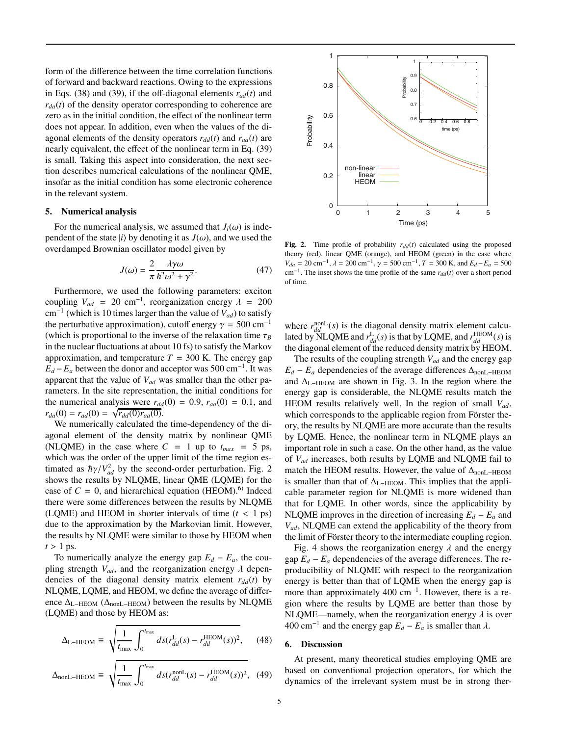form of the difference between the time correlation functions of forward and backward reactions. Owing to the expressions in Eqs. (38) and (39), if the off-diagonal elements  $r_{ad}(t)$  and  $r_{d}$  $(t)$  of the density operator corresponding to coherence are zero as in the initial condition, the effect of the nonlinear term does not appear. In addition, even when the values of the diagonal elements of the density operators  $r_{dd}(t)$  and  $r_{aa}(t)$  are nearly equivalent, the effect of the nonlinear term in Eq. (39) is small. Taking this aspect into consideration, the next section describes numerical calculations of the nonlinear QME, insofar as the initial condition has some electronic coherence in the relevant system.

### 5. Numerical analysis

For the numerical analysis, we assumed that  $J_i(\omega)$  is independent of the state  $|i\rangle$  by denoting it as  $J(\omega)$ , and we used the overdamped Brownian oscillator model given by

$$
J(\omega) = \frac{2}{\pi} \frac{\lambda \gamma \omega}{\hbar^2 \omega^2 + \gamma^2}.
$$
 (47)

Furthermore, we used the following parameters: exciton coupling  $V_{ad}$  = 20 cm<sup>-1</sup>, reorganization energy  $\lambda$  = 200 cm−<sup>1</sup> (which is 10 times larger than the value of *Vad*) to satisfy the perturbative approximation), cutoff energy  $\gamma = 500 \text{ cm}^{-1}$ (which is proportional to the inverse of the relaxation time  $\tau_B$ in the nuclear fluctuations at about 10 fs) to satisfy the Markov approximation, and temperature  $T = 300$  K. The energy gap  $E_d - E_a$  between the donor and acceptor was 500 cm<sup>-1</sup>. It was apparent that the value of *Vad* was smaller than the other parameters. In the site representation, the initial conditions for the numerical analysis were  $r_{dd}(0) = 0.9$ ,  $r_{aa}(0) = 0.1$ , and  $r_{da}(0) = r_{ad}(0) = \sqrt{r_{dd}(0)r_{aa}(0)}$ .

We numerically calculated the time-dependency of the diagonal element of the density matrix by nonlinear QME (NLQME) in the case where  $C = 1$  up to  $t_{max} = 5$  ps, which was the order of the upper limit of the time region estimated as  $\hbar \gamma / V_{ad}^2$  by the second-order perturbation. Fig. 2 shows the results by NLQME, linear QME (LQME) for the case of  $C = 0$ , and hierarchical equation (HEOM).<sup>6)</sup> Indeed there were some differences between the results by NLQME (LQME) and HEOM in shorter intervals of time  $(t < 1 \text{ ps})$ due to the approximation by the Markovian limit. However, the results by NLQME were similar to those by HEOM when  $t > 1$  ps.

To numerically analyze the energy gap  $E_d - E_a$ , the coupling strength  $V_{ad}$ , and the reorganization energy  $\lambda$  dependencies of the diagonal density matrix element  $r_{dd}(t)$  by NLQME, LQME, and HEOM, we define the average of difference ∆L−HEOM (∆nonL−HEOM) between the results by NLQME (LQME) and those by HEOM as:

$$
\Delta_{\text{L-HEOM}} \equiv \sqrt{\frac{1}{t_{\text{max}}}} \int_0^{t_{\text{max}}} ds (r_{dd}^{\text{L}}(s) - r_{dd}^{\text{HEOM}}(s))^2, \quad (48)
$$

$$
\Delta_{\text{nonL-HEOM}} \equiv \sqrt{\frac{1}{t_{\text{max}}}} \int_0^{t_{\text{max}}} ds (r_{dd}^{\text{nonL}}(s) - r_{dd}^{\text{HEOM}}(s))^2, (49)
$$



Fig. 2. Time profile of probability  $r_{dd}(t)$  calculated using the proposed theory (red), linear QME (orange), and HEOM (green) in the case where  $V_{da} = 20 \text{ cm}^{-1}$ ,  $\lambda = 200 \text{ cm}^{-1}$ ,  $\gamma = 500 \text{ cm}^{-1}$ ,  $T = 300 \text{ K}$ , and  $E_d - E_a = 500$ cm<sup>-1</sup>. The inset shows the time profile of the same  $r_{dd}(t)$  over a short period of time.

where  $r_{dd}^{\text{nonL}}(s)$  is the diagonal density matrix element calculated by  $\text{NLQME}$  and  $r_{dd}^{\text{L}}(s)$  is that by LQME, and  $r_{dd}^{\text{HEOM}}(s)$  is the diagonal element of the reduced density matrix by HEOM.

The results of the coupling strength *Vad* and the energy gap  $E_d - E_a$  dependencies of the average differences  $\Delta_{\text{nonL-HEOM}}$ and  $\Delta_{\text{L-HEOM}}$  are shown in Fig. 3. In the region where the energy gap is considerable, the NLQME results match the HEOM results relatively well. In the region of small *Vad*, which corresponds to the applicable region from Förster theory, the results by NLQME are more accurate than the results by LQME. Hence, the nonlinear term in NLQME plays an important role in such a case. On the other hand, as the value of *Vad* increases, both results by LQME and NLQME fail to match the HEOM results. However, the value of  $\Delta_{\text{nonL-HEOM}}$ is smaller than that of  $\Delta$ <sub>L−HEOM</sub>. This implies that the applicable parameter region for NLQME is more widened than that for LQME. In other words, since the applicability by NLQME improves in the direction of increasing  $E_d - E_a$  and *Vad*, NLQME can extend the applicability of the theory from the limit of Förster theory to the intermediate coupling region.

Fig. 4 shows the reorganization energy  $\lambda$  and the energy gap  $E_d - E_a$  dependencies of the average differences. The reproducibility of NLQME with respect to the reorganization energy is better than that of LQME when the energy gap is more than approximately 400 cm<sup>-1</sup>. However, there is a region where the results by LQME are better than those by NLQME—namely, when the reorganization energy  $\lambda$  is over 400 cm<sup>-1</sup> and the energy gap  $E_d$  −  $E_a$  is smaller than  $\lambda$ .

## 6. Discussion

At present, many theoretical studies employing QME are based on conventional projection operators, for which the dynamics of the irrelevant system must be in strong ther-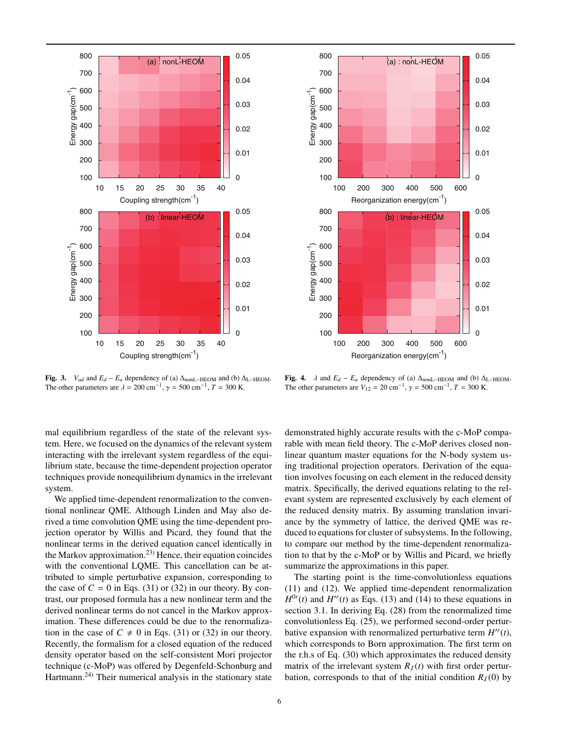

Fig. 3. *V<sub>ad</sub>* and  $E_d - E_a$  dependency of (a)  $\Delta_{\text{nonL-HEOM}}$  and (b)  $\Delta_{\text{L-HEOM}}$ . The other parameters are  $\lambda = 200 \text{ cm}^{-1}$ ,  $\gamma = 500 \text{ cm}^{-1}$ ,  $T = 300 \text{ K}$ .



Fig. 4.  $\lambda$  and  $E_d - E_a$  dependency of (a)  $\Delta_{\text{nonL-HEOM}}$  and (b)  $\Delta_{\text{L-HEOM}}$ . The other parameters are  $V_{12} = 20 \text{ cm}^{-1}$ ,  $\gamma = 500 \text{ cm}^{-1}$ ,  $T = 300 \text{ K}$ .

Reorganization energy(cm<sup>-1</sup>)

mal equilibrium regardless of the state of the relevant system. Here, we focused on the dynamics of the relevant system interacting with the irrelevant system regardless of the equilibrium state, because the time-dependent projection operator techniques provide nonequilibrium dynamics in the irrelevant system.

We applied time-dependent renormalization to the conventional nonlinear QME. Although Linden and May also derived a time convolution QME using the time-dependent projection operator by Willis and Picard, they found that the nonlinear terms in the derived equation cancel identically in the Markov approximation.<sup>23)</sup> Hence, their equation coincides with the conventional LQME. This cancellation can be attributed to simple perturbative expansion, corresponding to the case of  $C = 0$  in Eqs. (31) or (32) in our theory. By contrast, our proposed formula has a new nonlinear term and the derived nonlinear terms do not cancel in the Markov approximation. These differences could be due to the renormalization in the case of  $C \neq 0$  in Eqs. (31) or (32) in our theory. Recently, the formalism for a closed equation of the reduced density operator based on the self-consistent Mori projector technique (c-MoP) was offered by Degenfeld-Schonburg and Hartmann.<sup>24)</sup> Their numerical analysis in the stationary state demonstrated highly accurate results with the c-MoP comparable with mean field theory. The c-MoP derives closed nonlinear quantum master equations for the N-body system using traditional projection operators. Derivation of the equation involves focusing on each element in the reduced density matrix. Specifically, the derived equations relating to the relevant system are represented exclusively by each element of the reduced density matrix. By assuming translation invariance by the symmetry of lattice, the derived QME was reduced to equations for cluster of subsystems. In the following, to compare our method by the time-dependent renormalization to that by the c-MoP or by Willis and Picard, we briefly summarize the approximations in this paper.

The starting point is the time-convolutionless equations (11) and (12). We applied time-dependent renormalization  $H^{0r}(t)$  and  $H^{rr}(t)$  as Eqs. (13) and (14) to these equations in section 3.1. In deriving Eq. (28) from the renormalized time convolutionless Eq. (25), we performed second-order perturbative expansion with renormalized perturbative term  $H''(t)$ , which corresponds to Born approximation. The first term on the r.h.s of Eq. (30) which approximates the reduced density matrix of the irrelevant system  $R_I(t)$  with first order perturbation, corresponds to that of the initial condition  $R_I(0)$  by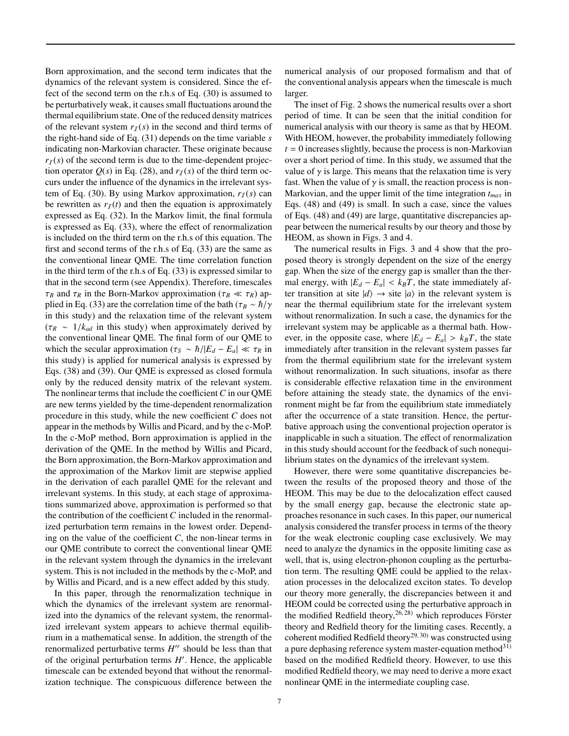Born approximation, and the second term indicates that the dynamics of the relevant system is considered. Since the effect of the second term on the r.h.s of Eq. (30) is assumed to be perturbatively weak, it causes small fluctuations around the thermal equilibrium state. One of the reduced density matrices of the relevant system  $r_I(s)$  in the second and third terms of the right-hand side of Eq. (31) depends on the time variable *s* indicating non-Markovian character. These originate because  $r_I(s)$  of the second term is due to the time-dependent projection operator  $Q(s)$  in Eq. (28), and  $r<sub>T</sub>(s)$  of the third term occurs under the influence of the dynamics in the irrelevant system of Eq. (30). By using Markov approximation,  $r_I(s)$  can be rewritten as  $r_I(t)$  and then the equation is approximately expressed as Eq. (32). In the Markov limit, the final formula is expressed as Eq. (33), where the effect of renormalization is included on the third term on the r.h.s of this equation. The first and second terms of the r.h.s of Eq. (33) are the same as the conventional linear QME. The time correlation function in the third term of the r.h.s of Eq. (33) is expressed similar to that in the second term (see Appendix). Therefore, timescales τ*<sup>B</sup>* and τ*<sup>R</sup>* in the Born-Markov approximation (τ*<sup>B</sup>* ≪ τ*R*) applied in Eq. (33) are the correlation time of the bath ( $\tau_B \sim \hbar/\gamma$ in this study) and the relaxation time of the relevant system  $(\tau_R \sim 1/k_{ad}$  in this study) when approximately derived by the conventional linear QME. The final form of our QME to which the secular approximation ( $\tau_s \sim \hbar/|E_d - E_a| \ll \tau_R$  in this study) is applied for numerical analysis is expressed by Eqs. (38) and (39). Our QME is expressed as closed formula only by the reduced density matrix of the relevant system. The nonlinear terms that include the coefficient *C* in our QME are new terms yielded by the time-dependent renormalization procedure in this study, while the new coefficient *C* does not appear in the methods by Willis and Picard, and by the c-MoP. In the c-MoP method, Born approximation is applied in the derivation of the QME. In the method by Willis and Picard, the Born approximation, the Born-Markov approximation and the approximation of the Markov limit are stepwise applied in the derivation of each parallel QME for the relevant and irrelevant systems. In this study, at each stage of approximations summarized above, approximation is performed so that the contribution of the coefficient *C* included in the renormalized perturbation term remains in the lowest order. Depending on the value of the coefficient *C*, the non-linear terms in our QME contribute to correct the conventional linear QME in the relevant system through the dynamics in the irrelevant system. This is not included in the methods by the c-MoP, and by Willis and Picard, and is a new effect added by this study.

In this paper, through the renormalization technique in which the dynamics of the irrelevant system are renormalized into the dynamics of the relevant system, the renormalized irrelevant system appears to achieve thermal equilibrium in a mathematical sense. In addition, the strength of the renormalized perturbative terms *H* ′*r* should be less than that of the original perturbation terms *H* ′ . Hence, the applicable timescale can be extended beyond that without the renormalization technique. The conspicuous difference between the numerical analysis of our proposed formalism and that of the conventional analysis appears when the timescale is much larger.

The inset of Fig. 2 shows the numerical results over a short period of time. It can be seen that the initial condition for numerical analysis with our theory is same as that by HEOM. With HEOM, however, the probability immediately following  $t = 0$  increases slightly, because the process is non-Markovian over a short period of time. In this study, we assumed that the value of  $\gamma$  is large. This means that the relaxation time is very fast. When the value of  $\gamma$  is small, the reaction process is non-Markovian, and the upper limit of the time integration *tmax* in Eqs. (48) and (49) is small. In such a case, since the values of Eqs. (48) and (49) are large, quantitative discrepancies appear between the numerical results by our theory and those by HEOM, as shown in Figs. 3 and 4.

The numerical results in Figs. 3 and 4 show that the proposed theory is strongly dependent on the size of the energy gap. When the size of the energy gap is smaller than the thermal energy, with  $|E_d - E_a| < k_B T$ , the state immediately after transition at site  $|d\rangle \rightarrow$  site  $|a\rangle$  in the relevant system is near the thermal equilibrium state for the irrelevant system without renormalization. In such a case, the dynamics for the irrelevant system may be applicable as a thermal bath. However, in the opposite case, where  $|E_d - E_a| > k_B T$ , the state immediately after transition in the relevant system passes far from the thermal equilibrium state for the irrelevant system without renormalization. In such situations, insofar as there is considerable effective relaxation time in the environment before attaining the steady state, the dynamics of the environment might be far from the equilibrium state immediately after the occurrence of a state transition. Hence, the perturbative approach using the conventional projection operator is inapplicable in such a situation. The effect of renormalization in this study should account for the feedback of such nonequilibrium states on the dynamics of the irrelevant system.

However, there were some quantitative discrepancies between the results of the proposed theory and those of the HEOM. This may be due to the delocalization effect caused by the small energy gap, because the electronic state approaches resonance in such cases. In this paper, our numerical analysis considered the transfer process in terms of the theory for the weak electronic coupling case exclusively. We may need to analyze the dynamics in the opposite limiting case as well, that is, using electron-phonon coupling as the perturbation term. The resulting QME could be applied to the relaxation processes in the delocalized exciton states. To develop our theory more generally, the discrepancies between it and HEOM could be corrected using the perturbative approach in the modified Redfield theory,  $26,28$ ) which reproduces Förster theory and Redfield theory for the limiting cases. Recently, a coherent modified Redfield theory<sup>29, 30</sup> was constructed using a pure dephasing reference system master-equation method $31$ ) based on the modified Redfield theory. However, to use this modified Redfield theory, we may need to derive a more exact nonlinear QME in the intermediate coupling case.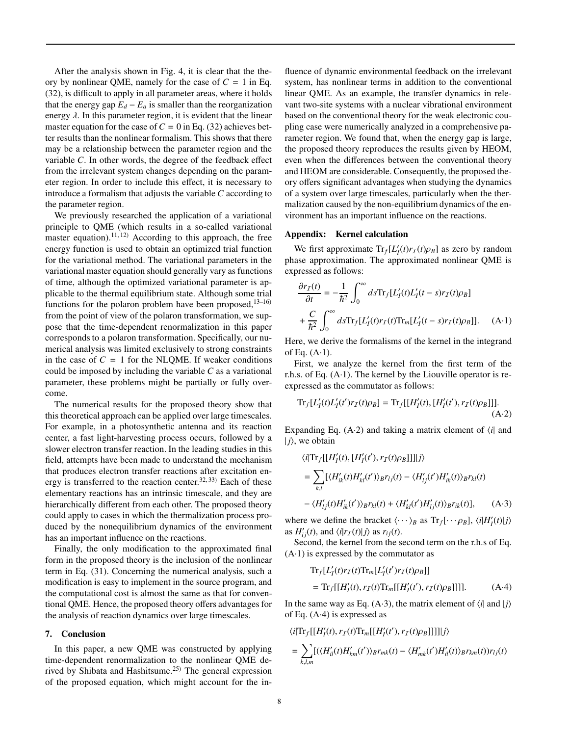After the analysis shown in Fig. 4, it is clear that the theory by nonlinear QME, namely for the case of  $C = 1$  in Eq. (32), is difficult to apply in all parameter areas, where it holds that the energy gap  $E_d - E_a$  is smaller than the reorganization energy  $\lambda$ . In this parameter region, it is evident that the linear master equation for the case of  $C = 0$  in Eq. (32) achieves better results than the nonlinear formalism. This shows that there may be a relationship between the parameter region and the variable *C*. In other words, the degree of the feedback effect from the irrelevant system changes depending on the parameter region. In order to include this effect, it is necessary to introduce a formalism that adjusts the variable *C* according to the parameter region.

We previously researched the application of a variational principle to QME (which results in a so-called variational master equation).<sup>11, 12)</sup> According to this approach, the free energy function is used to obtain an optimized trial function for the variational method. The variational parameters in the variational master equation should generally vary as functions of time, although the optimized variational parameter is applicable to the thermal equilibrium state. Although some trial functions for the polaron problem have been proposed,  $13-16$ ) from the point of view of the polaron transformation, we suppose that the time-dependent renormalization in this paper corresponds to a polaron transformation. Specifically, our numerical analysis was limited exclusively to strong constraints in the case of  $C = 1$  for the NLQME. If weaker conditions could be imposed by including the variable *C* as a variational parameter, these problems might be partially or fully overcome.

The numerical results for the proposed theory show that this theoretical approach can be applied over large timescales. For example, in a photosynthetic antenna and its reaction center, a fast light-harvesting process occurs, followed by a slower electron transfer reaction. In the leading studies in this field, attempts have been made to understand the mechanism that produces electron transfer reactions after excitation energy is transferred to the reaction center.<sup>32, 33)</sup> Each of these elementary reactions has an intrinsic timescale, and they are hierarchically different from each other. The proposed theory could apply to cases in which the thermalization process produced by the nonequilibrium dynamics of the environment has an important influence on the reactions.

Finally, the only modification to the approximated final form in the proposed theory is the inclusion of the nonlinear term in Eq. (31). Concerning the numerical analysis, such a modification is easy to implement in the source program, and the computational cost is almost the same as that for conventional QME. Hence, the proposed theory offers advantages for the analysis of reaction dynamics over large timescales.

## 7. Conclusion

In this paper, a new QME was constructed by applying time-dependent renormalization to the nonlinear QME derived by Shibata and Hashitsume.25) The general expression of the proposed equation, which might account for the influence of dynamic environmental feedback on the irrelevant system, has nonlinear terms in addition to the conventional linear QME. As an example, the transfer dynamics in relevant two-site systems with a nuclear vibrational environment based on the conventional theory for the weak electronic coupling case were numerically analyzed in a comprehensive parameter region. We found that, when the energy gap is large, the proposed theory reproduces the results given by HEOM, even when the differences between the conventional theory and HEOM are considerable. Consequently, the proposed theory offers significant advantages when studying the dynamics of a system over large timescales, particularly when the thermalization caused by the non-equilibrium dynamics of the environment has an important influence on the reactions.

### Appendix: Kernel calculation

We first approximate  $Tr_f[L'_I(t)r_I(t)\rho_B]$  as zero by random phase approximation. The approximated nonlinear QME is expressed as follows:

$$
\frac{\partial r_I(t)}{\partial t} = -\frac{1}{\hbar^2} \int_0^\infty ds \text{Tr}_f[L_I'(t)L_I'(t-s)r_I(t)\rho_B]
$$

$$
+ \frac{C}{\hbar^2} \int_0^\infty ds \text{Tr}_f[L_I'(t)r_I(t)\text{Tr}_m[L_I'(t-s)r_I(t)\rho_B]]. \quad (A-1)
$$

Here, we derive the formalisms of the kernel in the integrand of Eq.  $(A-1)$ .

First, we analyze the kernel from the first term of the r.h.s. of Eq.  $(A-1)$ . The kernel by the Liouville operator is reexpressed as the commutator as follows:

$$
\text{Tr}_{f}[L'_{I}(t)L'_{I}(t')r_{I}(t)\rho_{B}] = \text{Tr}_{f}[[H'_{I}(t), [H'_{I}(t'), r_{I}(t)\rho_{B}]]].
$$
\n(A-2)

Expanding Eq.  $(A·2)$  and taking a matrix element of  $\langle i|$  and  $|i\rangle$ , we obtain

$$
\langle i| \text{Tr}_{f}[[H'_{I}(t), [H'_{I}(t'), r_{I}(t)\rho_{B}]]]|j\rangle
$$
  
\n
$$
= \sum_{k,l} [\langle H'_{ik}(t)H'_{kl}(t')\rangle_{B}r_{lj}(t) - \langle H'_{lj}(t')H'_{ik}(t)\rangle_{B}r_{kl}(t)
$$
  
\n
$$
- \langle H'_{lj}(t)H'_{ik}(t')\rangle_{B}r_{kl}(t) + \langle H'_{kl}(t')H'_{lj}(t)\rangle_{B}r_{ik}(t)], \qquad (A-3)
$$

where we define the bracket  $\langle \cdots \rangle_B$  as  $Tr_f[\cdots \rho_B]$ ,  $\langle i|H'_I(t)|j\rangle$ as  $H'_{ij}(t)$ , and  $\langle i|r_I(t)|j\rangle$  as  $r_{ij}(t)$ .

Second, the kernel from the second term on the r.h.s of Eq.  $(A-1)$  is expressed by the commutator as

$$
\begin{aligned} &\text{Tr}_{f}[L'_{I}(t)r_{I}(t)\text{Tr}_{m}[L'_{I}(t')r_{I}(t)\rho_{B}]]] \\ &= \text{Tr}_{f}[[H'_{I}(t),r_{I}(t)\text{Tr}_{m}[[H'_{I}(t'),r_{I}(t)\rho_{B}]]]]. \end{aligned} \tag{A-4}
$$

In the same way as Eq. (A·3), the matrix element of  $\langle i|$  and  $|j\rangle$ of Eq. (A·4) is expressed as

$$
\langle i|\text{Tr}_{f}[[H'_{I}(t),r_{I}(t)\text{Tr}_{m}[[H'_{I}(t'),r_{I}(t)\rho_{B}]]]]|j\rangle
$$
  
= 
$$
\sum_{k,l,m} [(\langle H'_{il}(t)H'_{km}(t')\rangle_{B}r_{mk}(t) - \langle H'_{mk}(t')H'_{il}(t)\rangle_{B}r_{km}(t))r_{lj}(t)
$$